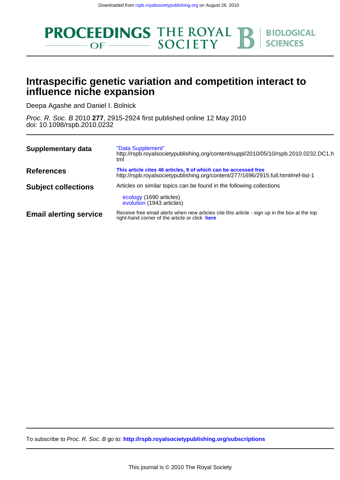

## **influence niche expansion Intraspecific genetic variation and competition interact to**

Deepa Agashe and Daniel I. Bolnick

doi: 10.1098/rspb.2010.0232 Proc. R. Soc. B 2010 **277**, 2915-2924 first published online 12 May 2010

| Supplementary data            | "Data Supplement"<br>http://rspb.royalsocietypublishing.org/content/suppl/2010/05/10/rspb.2010.0232.DC1.h<br>tml                                     |
|-------------------------------|------------------------------------------------------------------------------------------------------------------------------------------------------|
| <b>References</b>             | This article cites 46 articles, 9 of which can be accessed free<br>http://rspb.royalsocietypublishing.org/content/277/1696/2915.full.html#ref-list-1 |
| <b>Subject collections</b>    | Articles on similar topics can be found in the following collections<br>ecology (1690 articles)<br>evolution (1943 articles)                         |
| <b>Email alerting service</b> | Receive free email alerts when new articles cite this article - sign up in the box at the top<br>right-hand corner of the article or click here      |

To subscribe to Proc. R. Soc. B go to: **<http://rspb.royalsocietypublishing.org/subscriptions>**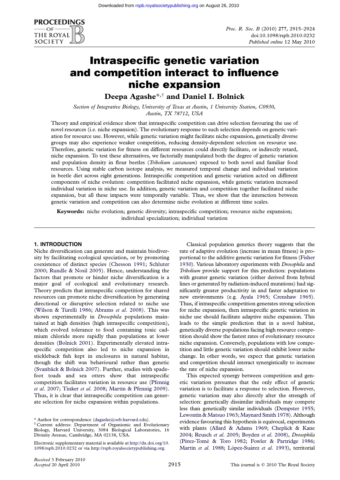

# Intraspecific genetic variation and competition interact to influence niche expansion

Deepa Agashe\*,† and Daniel I. Bolnick

Section of Integrative Biology, University of Texas at Austin, 1 University Station, C0930, Austin, TX 78712, USA

Theory and empirical evidence show that intraspecific competition can drive selection favouring the use of novel resources (i.e. niche expansion). The evolutionary response to such selection depends on genetic variation for resource use. However, while genetic variation might facilitate niche expansion, genetically diverse groups may also experience weaker competition, reducing density-dependent selection on resource use. Therefore, genetic variation for fitness on different resources could directly facilitate, or indirectly retard, niche expansion. To test these alternatives, we factorially manipulated both the degree of genetic variation and population density in flour beetles (*Tribolium castaneum*) exposed to both novel and familiar food resources. Using stable carbon isotope analysis, we measured temporal change and individual variation in beetle diet across eight generations. Intraspecific competition and genetic variation acted on different components of niche evolution: competition facilitated niche expansion, while genetic variation increased individual variation in niche use. In addition, genetic variation and competition together facilitated niche expansion, but all these impacts were temporally variable. Thus, we show that the interaction between genetic variation and competition can also determine niche evolution at different time scales.

Keywords: niche evolution; genetic diversity; intraspecific competition; resource niche expansion; individual specialization; individual variation

### 1. INTRODUCTION

Niche diversification can generate and maintain biodiversity by facilitating ecological speciation, or by promoting coexistence of distinct species [\(Chesson 1991;](#page-9-0) [Schluter](#page-9-0) [2000;](#page-9-0) [Rundle & Nosil 2005\)](#page-9-0). Hence, understanding the factors that promote or hinder niche diversification is a major goal of ecological and evolutionary research. Theory predicts that intraspecific competition for shared resources can promote niche diversification by generating directional or disruptive selection related to niche use [\(Wilson & Turelli 1986;](#page-10-0) [Abrams](#page-8-0) et al. 2008). This was shown experimentally in *Drosophila* populations maintained at high densities (high intraspecific competition), which evolved tolerance to food containing toxic cadmium chloride more rapidly than populations at lower densities ([Bolnick 2001](#page-9-0)). Experimentally elevated intraspecific competition also led to niche expansion in stickleback fish kept in enclosures in natural habitat, though the shift was behavioural rather than genetic (Svanbäck & Bolnick 2007). Further, studies with spadefoot toads and sea otters show that intraspecific competition facilitates variation in resource use ([Pfennig](#page-9-0) et al[. 2007;](#page-9-0) [Tinker](#page-10-0) et al. 2008; [Martin & Pfennig 2009](#page-9-0)). Thus, it is clear that intraspecific competition can generate selection for niche expansion within populations.

\* Author for correspondence ([dagashe@oeb.harvard.edu](mailto:dagashe@oeb.harvard.edu)).

† Current address: Department of Organismic and Evolutionary Biology, Harvard University, 3084 Biological Laboratories, 16 Divinity Avenue, Cambridge, MA 02138, USA.

Electronic supplementary material is available at [http://dx.doi.org/10.](http://dx.doi.org/10.1098/rspb.2010.0232) [1098/rspb.2010.0232](http://dx.doi.org/10.1098/rspb.2010.0232) or via <http://rspb.royalsocietypublishing.org>.

Classical population genetics theory suggests that the rate of adaptive evolution (increase in mean fitness) is proportional to the additive genetic variation for fitness [\(Fisher](#page-9-0) [1930](#page-9-0)). Various laboratory experiments with Drosophila and Tribolium provide support for this prediction: populations with greater genetic variation (either derived from hybrid lines or generated by radiation-induced mutations) had significantly greater productivity in and faster adaptation to new environments (e.g. [Ayala 1965;](#page-9-0) [Crenshaw 1965](#page-9-0)). Thus, if intraspecific competition generates strong selection for niche expansion, then intraspecific genetic variation in niche use should facilitate adaptive niche expansion. This leads to the simple prediction that in a novel habitat, genetically diverse populations facing high resource competition should show the fastest rates of evolutionary resource niche expansion. Conversely, populations with low competition and little genetic variation should exhibit lower niche change. In other words, we expect that genetic variation and competition should interact synergistically to increase the rate of niche expansion.

This expected synergy between competition and genetic variation presumes that the only effect of genetic variation is to facilitate a response to selection. However, genetic variation may also directly alter the strength of selection: genetically dissimilar individuals may compete less than genetically similar individuals [\(Dempster 1955;](#page-9-0) [Lewontin & Matsuo 1963;](#page-9-0) [Maynard Smith 1978\)](#page-9-0). Although evidence favouring this hypothesis is equivocal, experiments with plants ([Allard & Adams 1969;](#page-8-0) [Cheplick & Kane](#page-9-0) [2004;](#page-9-0) [Reusch](#page-9-0) et al. 2005; [Boyden](#page-9-0) et al. 2008), Drosophila (Pérez-Tomé [& Toro 1982](#page-9-0); [Fowler & Partridge 1986;](#page-9-0) [Martin](#page-9-0) et al. 1988; López-Suárez et al. 1993), territorial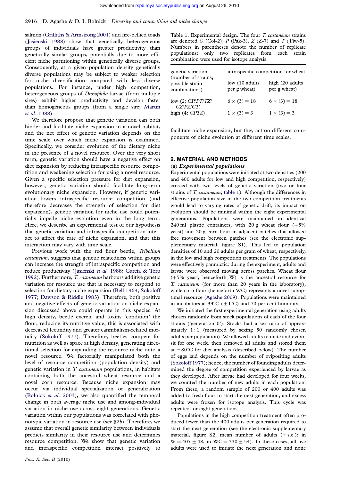<span id="page-2-0"></span>salmon ([Griffiths & Armstrong 2001](#page-9-0)) and fire-bellied toads ([Jasienski 1988](#page-9-0)) show that genetically heterogeneous groups of individuals have greater productivity than genetically similar groups, potentially due to more efficient niche partitioning within genetically diverse groups. Consequently, at a given population density genetically diverse populations may be subject to weaker selection for niche diversification compared with less diverse populations. For instance, under high competition, heterogeneous groups of Drosophila larvae (from multiple sires) exhibit higher productivity and develop faster than homogeneous groups (from a single sire; [Martin](#page-9-0) et al[. 1988\)](#page-9-0).

We therefore propose that genetic variation can both hinder and facilitate niche expansion in a novel habitat, and the net effect of genetic variation depends on the time scale over which niche expansion is examined. Specifically, we consider evolution of the dietary niche in the presence of a novel resource. Over the very short term, genetic variation should have a negative effect on diet expansion by reducing intraspecific resource competition and weakening selection for using a novel resource. Given a specific selection pressure for diet expansion, however, genetic variation should facilitate long-term evolutionary niche expansion. However, if genetic variation lowers intraspecific resource competition (and therefore decreases the strength of selection for diet expansion), genetic variation for niche use could potentially impede niche evolution even in the long term. Here, we describe an experimental test of our hypothesis that genetic variation and intraspecific competition interact to affect the rate of niche expansion, and that this interaction may vary with time scale.

Previous work with the red flour beetle, Tribolium castaneum, suggests that genetic relatedness within groups can increase the strength of intraspecific competition and reduce productivity ([Jasienski](#page-9-0) et al. 1988; [Garcia & Toro](#page-9-0) [1992](#page-9-0)). Furthermore, T. castaneum harbours additive genetic variation for resource use that is necessary to respond to selection for dietary niche expansion [\(Bell 1969;](#page-9-0) [Sokoloff](#page-10-0) [1977;](#page-10-0) [Dawson & Riddle 1983](#page-9-0)). Therefore, both positive and negative effects of genetic variation on niche expansion discussed above could operate in this species. At high density, beetle excreta and toxins 'condition' the flour, reducing its nutritive value; this is associated with decreased fecundity and greater cannibalism-related mortality [\(Sokoloff 1977](#page-10-0)). Therefore, beetles compete for nutrition as well as space at high density, generating directional selection for expanding the resource niche onto a novel resource. We factorially manipulated both the level of resource competition (population density) and genetic variation in T. castaneum populations, in habitats containing both the ancestral wheat resource and a novel corn resource. Because niche expansion may occur via individual specialization or generalization [\(Bolnick](#page-9-0) et al. 2003), we also quantified the temporal change in both average niche use and among-individual variation in niche use across eight generations. Genetic variation within our populations was correlated with phenotypic variation in resource use (see §2b). Therefore, we assume that overall genetic similarity between individuals predicts similarity in their resource use and determines resource competition. We show that genetic variation and intraspecific competition interact positively to

Table 1. Experimental design. The four T. castaneum strains are denoted C (Col-2),  $P$  (Pak-3),  $Z$  (Z-7) and  $T$  (Tiw-5). Numbers in parentheses denote the number of replicate populations; only two replicates from each strain combination were used for isotope analysis.

| genetic variation                                       | intraspecific competition for wheat |                                  |  |  |  |  |
|---------------------------------------------------------|-------------------------------------|----------------------------------|--|--|--|--|
| (number of strains;<br>possible strain<br>combinations) | low (10 adults)<br>per g wheat)     | high (20 adults)<br>per g wheat) |  |  |  |  |
| low $(2; CP/PT/TZ/$<br>CZ/PZ/CT                         | $6 \times (3) = 18$                 | $6 \times (3) = 18$              |  |  |  |  |
| high $(4; CPTZ)$                                        | $1 \times (3) = 3$                  | $1 \times (3) = 3$               |  |  |  |  |

facilitate niche expansion, but they act on different components of niche evolution at different time scales.

## 2. MATERIAL AND METHODS

### (a) Experimental populations

Experimental populations were initiated at two densities (200 and 400 adults for low and high competition, respectively) crossed with two levels of genetic variation (two or four strains of T. castaneum; table 1). Although the differences in effective population size in the two competition treatments would lead to varying rates of genetic drift, its impact on evolution should be minimal within the eight experimental generations. Populations were maintained in identical 240 ml plastic containers, with 20 g wheat flour  $(+5\%$ yeast) and 20 g corn flour in adjacent patches that allowed free movement between patches (see the electronic supplementary material, figure S1). This led to population densities of 10 and 20 adults per gram of wheat, respectively, in the low and high competition treatments. The populations were effectively panmictic: during the experiment, adults and larvae were observed moving across patches. Wheat flour  $(+5%$  yeast; henceforth W) is the ancestral resource for T. castaneum (for more than 20 years in the laboratory), while corn flour (henceforth WC) represents a novel suboptimal resource [\(Agashe 2009](#page-8-0)). Populations were maintained in incubators at 33 $^{\circ}$ C (+1 $^{\circ}$ C) and 70 per cent humidity.

We initiated the first experimental generation using adults chosen randomly from stock populations of each of the four strains ('generation 0'). Stocks had a sex ratio of approximately  $1:1$  (measured by sexing 50 randomly chosen adults per population). We allowed adults to mate and oviposit for one week, then removed all adults and stored them at  $-80^{\circ}$ C for diet analysis (described below). The number of eggs laid depends on the number of ovipositing adults [\(Sokoloff 1977\)](#page-10-0); hence, the number of founding adults determined the degree of competition experienced by larvae as they developed. After larvae had developed for four weeks, we counted the number of new adults in each population. From these, a random sample of 200 or 400 adults was added to fresh flour to start the next generation, and excess adults were frozen for isotope analysis. This cycle was repeated for eight generations.

Populations in the high competition treatment often produced fewer than the 400 adults per generation required to start the next generation (see the electronic supplementary material, figure S2; mean number of adults  $(+ s.e.):$  in  $W = 407 + 48$ , in  $WC = 330 + 54$ ). In these cases, all live adults were used to initiate the next generation and none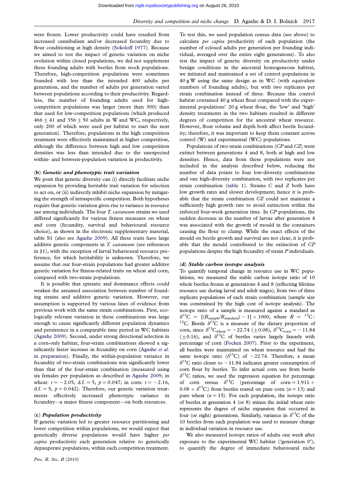were frozen. Lower productivity could have resulted from increased cannibalism and/or decreased fecundity due to flour conditioning at high density ([Sokoloff 1977](#page-10-0)). Because we aimed to test the impact of genetic variation on niche evolution within closed populations, we did not supplement these founding adults with beetles from stock populations. Therefore, high-competition populations were sometimes founded with less than the intended 400 adults per generation, and the number of adults per generation varied between populations according to their productivity. Regardless, the number of founding adults used for highcompetition populations was larger (more than 300) than that used for low-competition populations (which produced  $466 \pm 41$  and  $356 \pm 50$  adults in W and WC, respectively, only 200 of which were used per habitat to start the next generation). Therefore, populations in the high competition treatment were effectively maintained at higher competition, although the difference between high and low competition densities was less than intended due to the unexpected within- and between-population variation in productivity.

#### (b) Genetic and phenotypic trait variation

We posit that genetic diversity can (i) directly facilitate niche expansion by providing heritable trait variation for selection to act on, or (ii) indirectly inhibit niche expansion by mitigating the strength of intraspecific competition. Both hypotheses require that genetic variation gives rise to variance in resource use among individuals. The four T. castaneum strains we used differed significantly for various fitness measures on wheat and corn (fecundity, survival and behavioural resource choice), as shown in the electronic supplementary material, table S1 (also see [Agashe 2009](#page-8-0)). All these traits have large additive genetic components in T. castaneum (see references in §1), with the exception of larval behavioural resource preference, for which heritability is unknown. Therefore, we assume that our four-strain populations had greater additive genetic variation for fitness-related traits on wheat and corn, compared with two-strain populations.

It is possible that epistatic and dominance effects could weaken the assumed association between number of founding strains and additive genetic variation. However, our assumption is supported by various lines of evidence from previous work with the same strain combinations. First, ecologically relevant variation in these combinations was large enough to cause significantly different population dynamics and persistence in a comparable time period in WC habitats ([Agashe 2009](#page-8-0)). Second, under strong directional selection in a corn-only habitat, four-strain combinations showed a sig-nificantly faster increase in fecundity on corn [\(Agashe](#page-8-0) et al. [in preparation\)](#page-8-0). Finally, the within-population variance in fecundity of two-strain combinations was significantly lower than that of the four-strain combination (measured using six females per population as described in [Agashe 2009;](#page-8-0) in wheat:  $t = -2.05$ , d.f. = 5,  $p = 0.047$ ; in corn:  $t = -2.16$ , d.f. = 5,  $p = 0.042$ ). Therefore, our genetic variation treatments effectively increased phenotypic variance in fecundity—a major fitness component—on both resources.

#### (c) Population productivity

If genetic variation led to greater resource partitioning and lower competition within populations, we would expect that genetically diverse populations would have higher per capita productivity each generation relative to genetically depauperate populations, within each competition treatment.

To test this, we used population census data (see above) to calculate per capita productivity of each population (the number of eclosed adults per generation per founding individual, averaged over the entire eight generations). To also test the impact of genetic diversity on productivity under benign conditions in the ancestral homogeneous habitat, we initiated and maintained a set of control populations in 40 g W using the same design as in WC (with equivalent numbers of founding adults), but with two replicates per strain combination instead of three. Because this control habitat contained 40 g wheat flour compared with the experimental populations' 20 g wheat flour, the 'low' and 'high' density treatments in the two habitats resulted in different degrees of competition for the ancestral wheat resource. However, flour volume and depth both affect beetle fecundity; therefore, it was important to keep them constant across control (W) and experimental (WC) populations.

Populations of two strain combinations (CP and CZ) went extinct between generations 4 and 8, both at high and low densities. Hence, data from these populations were not included in the analysis described below, reducing the number of data points to four low-diversity combinations and one high-diversity combination, with two replicates per strain combination [\(table 1](#page-2-0)). Strains  $C$  and  $Z$  both have low growth rates and slower development; hence it is probable that the strain combination CZ could not maintain a sufficiently high growth rate to avoid extinction within the enforced four-week generation time. In CP populations, the sudden decrease in the number of larvae after generation 4 was associated with the growth of mould in the containers causing the flour to clump. While the exact effects of the mould on beetle growth and survival are not clear, it is probable that the mould contributed to the extinction of CP populations despite the high fecundity of strain P individuals.

#### (d) Stable carbon isotope analysis

To quantify temporal change in resource use in WC populations, we measured the stable carbon isotope ratio of 10 whole beetles frozen at generations 4 and 8 (reflecting lifetime resource use during larval and adult stages), from two of three replicate populations of each strain combination (sample size was constrained by the high cost of isotope analysis). The isotope ratio of a sample is measured against a standard as  $\delta^{13}C = [(R_{sample}/R_{standard}) - 1] \times 1000$ , where  $R = {}^{13}C$ : <sup>12</sup>C. Beetle  $\delta^{13}$ C is a measure of the dietary proportion of corn, since  $\delta^{13}C_{\text{wheat}} = -22.74 \ (\pm 0.08)$ ,  $\delta^{13}C_{\text{corn}} = -11.84$  $(\pm 0.16)$ , and  $\delta^{13}$ C of beetles varies largely linearly with percentage of corn [\(Focken 2007](#page-9-0)). Prior to the experiment, all beetles were maintained on wheat resource and had the same isotope ratio ( $\delta^{13}C$ ) of -22.74. Therefore, a mean  $\delta^{13}$ C ratio closer to -11.84 indicates greater consumption of corn flour by beetles. To infer actual corn use from beetle  $\delta^{13}$ C ratios, we used the regression equation for percentage of corn versus  $\delta^{13}C$  (percentage of corn = 1.911 +  $0.08 \times \delta^{13}$ C) from beetles reared on pure corn (*n* = 13) and pure wheat  $(n = 15)$ . For each population, the isotope ratio of beetles at generation 4 (or 8) minus the initial wheat ratio represents the degree of niche expansion that occurred in four (or eight) generations. Similarly, variance in  $\delta^{13}C$  of the 10 beetles from each population was used to measure change in individual variation in resource use.

We also measured isotope ratios of adults one week after exposure to the experimental WC habitat ('generation 0'), to quantify the degree of immediate behavioural niche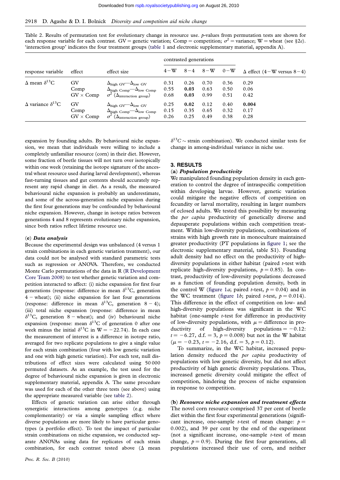<span id="page-4-0"></span>

| Table 2. Results of permutation test for evolutionary change in resource use. $p$ -values from permutation tests are shown for    |
|-----------------------------------------------------------------------------------------------------------------------------------|
| each response variable for each contrast. GV = genetic variation; Comp = competition; $\sigma^2$ = variance; W = wheat (see §2e). |
| 'interaction group' indicates the four treatment groups (table 1 and electronic supplementary material, appendix A).              |

| response variable                 | effect           | effect size                                             | contrasted generations |      |                 |       |                                      |
|-----------------------------------|------------------|---------------------------------------------------------|------------------------|------|-----------------|-------|--------------------------------------|
|                                   |                  |                                                         | $4-\mathrm{W}$         |      | $8 - 4$ $8 - W$ | $0-W$ | $\Delta$ effect (4 – W versus 8 – 4) |
| $\Delta$ mean $\delta^{13}$ C     | GV               | $\Delta_{\text{high GV}} - \Delta_{\text{low GV}}$      | 0.31                   | 0.26 | 0.70            | 0.36  | 0.29                                 |
|                                   | Comp             | $\Delta_{\text{high Comp}}$ $-\Delta_{\text{low Comp}}$ | 0.55                   | 0.03 | 0.63            | 0.50  | 0.06                                 |
|                                   | $GV \times Comp$ | $(\Delta_{\text{interaction group}})$                   | 0.68                   | 0.03 | 0.99            | 0.51  | 0.42                                 |
| $\Delta$ variance $\delta^{13}$ C | GV               | $\Delta_{\text{high GV}} - \Delta_{\text{low GV}}$      | 0.25                   | 0.02 | 0.12            | 0.40  | 0.004                                |
|                                   | Comp             | $\Delta_{\text{high Comp}} - \Delta_{\text{low Comp}}$  | 0.15                   | 0.35 | 0.65            | 0.32  | 0.17                                 |
|                                   | $GV \times Comp$ | $(\Delta_{\text{interaction group}})$                   | 0.26                   | 0.25 | 0.49            | 0.38  | 0.28                                 |

expansion by founding adults. By behavioural niche expansion, we mean that individuals were willing to include a completely unfamiliar resource (corn) in their diet. However, some fraction of beetle tissues will not turn over isotopically within one week (retaining the isotope signature of the ancestral wheat resource used during larval development), whereas fast-turning tissues and gut contents should accurately represent any rapid change in diet. As a result, the measured behavioural niche expansion is probably an underestimate, and some of the across-generation niche expansion during the first four generations may be confounded by behavioural niche expansion. However, change in isotope ratios between generations 4 and 8 represents evolutionary niche expansion, since both ratios reflect lifetime resource use.

#### (e) Data analysis

Because the experimental design was unbalanced (4 versus 1 strain combinations in each genetic variation treatment), our data could not be analysed with standard parametric tests such as regression or ANOVA. Therefore, we conducted Monte Carlo permutations of the data in R [\(R Development](#page-9-0) [Core Team 2008\)](#page-9-0) to test whether genetic variation and competition interacted to affect: (i) niche expansion for first four generations (response: difference in mean  $\delta^{13}$ C, generation  $4 -$  wheat); (ii) niche expansion for last four generations (response: difference in mean  $\delta^{13}$ C, generation 8 – 4); (iii) total niche expansion (response: difference in mean  $\delta^{13}$ C, generation 8 – wheat); and (iv) behavioural niche expansion (response: mean  $\delta^{13}$ C of generation 0 after one week minus the initial  $\delta^{13}$ C in W = -22.74). In each case the measurement of interest is a difference in isotope ratio, averaged for two replicate populations to give a single value for each strain combination (four with low genetic variation and one with high genetic variation). For each test, null distributions of effect sizes were calculated using 50 000 permuted datasets. As an example, the test used for the degree of behavioural niche expansion is given in electronic supplementary material, appendix A. The same procedure was used for each of the other three tests (see above) using the appropriate measured variable (see table 2).

Effects of genetic variation can arise either through synergistic interactions among genotypes (e.g. niche complementarity) or via a simple sampling effect where diverse populations are more likely to have particular genotypes (a portfolio effect). To test the impact of particular strain combinations on niche expansion, we conducted separate ANOVAs using data for replicates of each strain combination, for each contrast tested above  $(\Delta$  mean

 $\delta^{13}C \sim$  strain combination). We conducted similar tests for change in among-individual variance in niche use.

## 3. RESULTS

## (a) Population productivity

We manipulated founding population density in each generation to control the degree of intraspecific competition within developing larvae. However, genetic variation could mitigate the negative effects of competition on fecundity or larval mortality, resulting in larger numbers of eclosed adults. We tested this possibility by measuring the per capita productivity of genetically diverse and depauperate populations within each competition treatment. Within low-diversity populations, combinations of strains with high growth rate in monoculture maintained greater productivity (PT populations in [figure 1](#page-5-0); see the electronic supplementary material, table S1). Founding adult density had no effect on the productivity of highdiversity populations in either habitat (paired  $t$ -test with replicate high-diversity populations,  $p = 0.85$ ). In contrast, productivity of low-diversity populations decreased as a function of founding population density, both in the control W [\(figure 1](#page-5-0)*a*; paired *t*-test,  $p = 0.04$ ) and in the WC treatment ([figure 1](#page-5-0)b; paired t-test,  $p = 0.014$ ). This difference in the effect of competition on low- and high-diversity populations was significant in the WC habitat (one-sample *t*-test for difference in productivity of low-diversity populations, with  $\mu$  = difference in productivity of high-diversity populations  $= -0.12$ :  $t = -6.27$ , d.f. = 3,  $p = 0.008$ ) but not in the W habitat  $(\mu = -0.23, t = -2.16, d.f. = 3, p = 0.12).$ 

To summarize, in the WC habitat, increased population density reduced the *per capita* productivity of populations with low genetic diversity, but did not affect productivity of high genetic diversity populations. Thus, increased genetic diversity could mitigate the effect of competition, hindering the process of niche expansion in response to competition.

(b) Resource niche expansion and treatment effects The novel corn resource comprised 37 per cent of beetle diet within the first four experimental generations (significant increase, one-sample *t*-test of mean change:  $p =$ 0.002), and 39 per cent by the end of the experiment (not a significant increase, one-sample  $t$ -test of mean change,  $p = 0.9$ ). During the first four generations, all populations increased their use of corn, and neither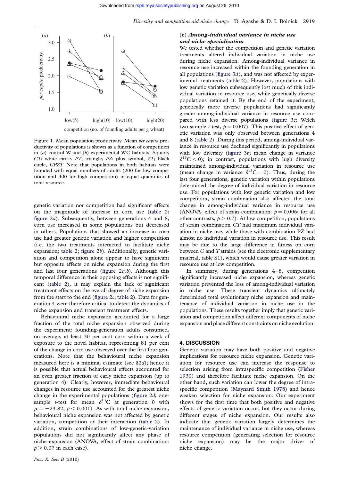<span id="page-5-0"></span>

Figure 1. Mean population productivity. Mean per capita productivity of populations is shown as a function of competition in (a) control W and (b) experimental WC habitats. Square, CT; white circle, PT; triangle, PZ; plus symbol, ZT; black circle, CPZT. Note that populations in both habitats were founded with equal numbers of adults (200 for low competition and 400 for high competition) in equal quantities of total resource.

genetic variation nor competition had significant effects on the magnitude of increase in corn use [\(table 2;](#page-4-0) [figure 2](#page-6-0)a). Subsequently, between generations 4 and 8, corn use increased in some populations but decreased in others. Populations that showed an increase in corn use had greater genetic variation and higher competition (i.e. the two treatments interacted to facilitate niche expansion; [table 2;](#page-4-0) [figure 2](#page-6-0)b). Additionally, genetic variation and competition alone appear to have significant but opposite effects on niche expansion during the first and last four generations (figure  $2a,b$ ). Although this temporal difference in their opposing effects is not significant ([table 2\)](#page-4-0), it may explain the lack of significant treatment effects on the overall degree of niche expansion from the start to the end (figure  $2c$ ; [table 2](#page-4-0)). Data for generation 4 were therefore critical to detect the dynamics of niche expansion and transient treatment effects.

Behavioural niche expansion accounted for a large fraction of the total niche expansion observed during the experiment: founding-generation adults consumed, on average, at least 30 per cent corn within a week of exposure to the novel habitat, representing 81 per cent of the change in corn use observed over the first four generations. Note that the behavioural niche expansion measured here is a minimal estimate (see  $\S 2d$ ); hence it is possible that actual behavioural effects accounted for an even greater fraction of early niche expansion (up to generation 4). Clearly, however, immediate behavioural changes in resource use accounted for the greatest niche change in the experimental populations ([figure 2](#page-6-0)d; onesample *t*-test for mean  $\delta^{13}$ C at generation 0 with  $\mu = -23.82, \ p < 0.001$ ). As with total niche expansion, behavioural niche expansion was not affected by genetic variation, competition or their interaction ([table 2\)](#page-4-0). In addition, strain combinations of low-genetic-variation populations did not significantly affect any phase of niche expansion (ANOVA, effect of strain combination:  $p > 0.07$  in each case).

## (c) Among-individual variance in niche use and niche specialization

We tested whether the competition and genetic variation treatments altered individual variation in niche use during niche expansion. Among-individual variance in resource use increased within the founding generation in all populations (figure  $3d$ ), and was not affected by experimental treatments ([table 2\)](#page-4-0). However, populations with low genetic variation subsequently lost much of this individual variation in resource use, while genetically diverse populations retained it. By the end of the experiment, genetically more diverse populations had significantly greater among-individual variance in resource use compared with less diverse populations [\(figure 3](#page-6-0)c; Welch two-sample *t*-test,  $p = 0.007$ ). This positive effect of genetic variation was only observed between generations 4 and 8 [\(table 2\)](#page-4-0). During this period, among-individual variance in resource use declined significantly in populations with low diversity ([figure 3](#page-6-0)b; mean change in variance  $\delta^{13}$ C < 0); in contrast, populations with high diversity maintained among-individual variation in resource use (mean change in variance  $\delta^{13}C = 0$ ). Thus, during the last four generations, genetic variation within populations determined the degree of individual variation in resource use. For populations with low genetic variation and low competition, strain combination also affected the total change in among-individual variance in resource use (ANOVA, effect of strain combination:  $p = 0.006$ ; for all other contrasts,  $p > 0.7$ ). At low competition, populations of strain combination CT had maximum individual variation in niche use, while those with combination PZ had almost no individual variation in resource use. This result may be due to the large difference in fitness on corn between  $C$  and  $T$  strains (see the electronic supplementary material, table S1), which would cause greater variation in resource use at low competition.

In summary, during generations 4–8, competition significantly increased niche expansion, whereas genetic variation prevented the loss of among-individual variation in niche use. These transient dynamics ultimately determined total evolutionary niche expansion and maintenance of individual variation in niche use in the populations. These results together imply that genetic variation and competition affect different components of niche expansion and place different constraints on niche evolution.

#### 4. DISCUSSION

Genetic variation may have both positive and negative implications for resource niche expansion. Genetic variation for resource use can increase the response to selection arising from intraspecific competition ([Fisher](#page-9-0) [1930\)](#page-9-0) and therefore facilitate niche expansion. On the other hand, such variation can lower the degree of intraspecific competition [\(Maynard Smith 1978](#page-9-0)) and hence weaken selection for niche expansion. Our experiment shows for the first time that both positive and negative effects of genetic variation occur, but they occur during different stages of niche expansion. Our results also indicate that genetic variation largely determines the maintenance of individual variance in niche use, whereas resource competition (generating selection for resource niche expansion) may be the major driver of niche change.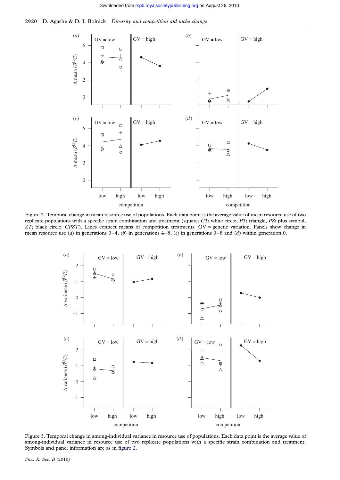<span id="page-6-0"></span>



Figure 2. Temporal change in mean resource use of populations. Each data point is the average value of mean resource use of two replicate populations with a specific strain combination and treatment (square, CT; white circle, PT; triangle, PZ; plus symbol,  $ZT$ ; black circle,  $CPZT$ ). Lines connect means of competition treatments.  $GV =$  genetic variation. Panels show change in mean resource use (a) in generations  $0-4$ , (b) in generations  $4-8$ , (c) in generations  $0-8$  and (d) within generation 0.



Figure 3. Temporal change in among-individual variance in resource use of populations. Each data point is the average value of among-individual variance in resource use of two replicate populations with a specific strain combination and treatment. Symbols and panel information are as in figure 2.

Proc. R. Soc. B (2010)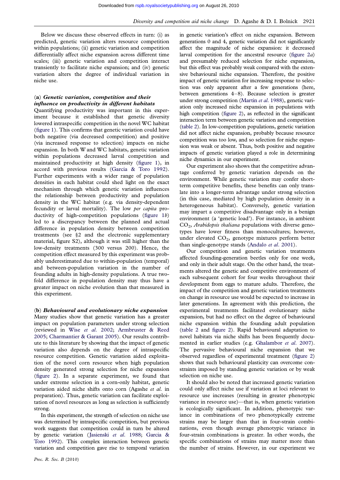Below we discuss these observed effects in turn: (i) as predicted, genetic variation alters resource competition within populations; (ii) genetic variation and competition differentially affect niche expansion across different time scales; (iii) genetic variation and competition interact transiently to facilitate niche expansion; and (iv) genetic variation alters the degree of individual variation in niche use.

## (a) Genetic variation, competition and their influence on productivity in different habitats

Quantifying productivity was important in this experiment because it established that genetic diversity lowered intraspecific competition in the novel WC habitat [\(figure 1\)](#page-5-0). This confirms that genetic variation could have both negative (via decreased competition) and positive (via increased response to selection) impacts on niche expansion. In both W and WC habitats, genetic variation within populations decreased larval competition and maintained productivity at high density ([figure 1\)](#page-5-0), in accord with previous results ([Garcia & Toro 1992](#page-9-0)). Further experiments with a wider range of population densities in each habitat could shed light on the exact mechanism through which genetic variation influences the relationship between productivity and population density in the WC habitat (e.g. via density-dependent fecundity or larval mortality). The low per capita productivity of high-competition populations ([figure 1](#page-5-0)b) led to a discrepancy between the planned and actual difference in population density between competition treatments (see §2 and the electronic supplementary material, figure S2), although it was still higher than the low-density treatments (300 versus 200). Hence, the competition effect measured by this experiment was probably underestimated due to within-population (temporal) and between-population variation in the number of founding adults in high-density populations. A true twofold difference in population density may thus have a greater impact on niche evolution than that measured in this experiment.

(b) Behavioural and evolutionary niche expansion Many studies show that genetic variation has a greater impact on population parameters under strong selection (reviewed in Wise et al[. 2002;](#page-10-0) [Armbruster & Reed](#page-9-0) [2005;](#page-9-0) [Charmantier & Garant 2005\)](#page-9-0). Our results contribute to this literature by showing that the impact of genetic variation also depends on the degree of intraspecific resource competition. Genetic variation aided exploitation of the novel corn resource when high population density generated strong selection for niche expansion [\(figure 2\)](#page-6-0). In a separate experiment, we found that under extreme selection in a corn-only habitat, genetic variation aided niche shifts onto corn (Agashe et al. in preparation). Thus, genetic variation can facilitate exploitation of novel resources as long as selection is sufficiently strong.

In this experiment, the strength of selection on niche use was determined by intraspecific competition, but previous work suggests that competition could in turn be altered by genetic variation ([Jasienski](#page-9-0) et al. 1988; [Garcia &](#page-9-0) [Toro 1992\)](#page-9-0). This complex interaction between genetic variation and competition gave rise to temporal variation in genetic variation's effect on niche expansion. Between generations 0 and 4, genetic variation did not significantly affect the magnitude of niche expansion: it decreased larval competition for the ancestral resource (figure  $2a$ ) and presumably reduced selection for niche expansion, but this effect was probably weak compared with the extensive behavioural niche expansion. Therefore, the positive impact of genetic variation for increasing response to selection was only apparent after a few generations (here, between generations 4–8). Because selection is greater under strong competition [\(Martin](#page-9-0) et al. 1988), genetic variation only increased niche expansion in populations with high competition [\(figure 2](#page-6-0)), as reflected in the significant interaction term between genetic variation and competition [\(table 2](#page-4-0)). In low-competition populations, genetic variation did not affect niche expansion, probably because resource competition was too low, and so selection for niche expansion was weak or absent. Thus, both positive and negative impacts of genetic variation played a role in determining niche dynamics in our experiment.

Our experiment also shows that the competitive advantage conferred by genetic variation depends on the environment. While genetic variation may confer shortterm competitive benefits, these benefits can only translate into a longer-term advantage under strong selection (in this case, mediated by high population density in a heterogeneous habitat). Conversely, genetic variation may impart a competitive disadvantage only in a benign environment (a 'genetic load'). For instance, in ambient  $CO<sub>2</sub>$ , Arabidopsis thaliana populations with diverse genotypes have lower fitness than monocultures; however, under elevated  $CO<sub>2</sub>$ , genotype mixtures perform better than single-genotype stands ([Andalo](#page-9-0) et al. 2001).

Our competition and genetic variation treatments affected founding-generation beetles only for one week, and only in their adult stage. On the other hand, the treatments altered the genetic and competitive environment of each subsequent cohort for four weeks throughout their development from eggs to mature adults. Therefore, the impact of the competition and genetic variation treatments on change in resource use would be expected to increase in later generations. In agreement with this prediction, the experimental treatments facilitated evolutionary niche expansion, but had no effect on the degree of behavioural niche expansion within the founding adult population [\(table 2](#page-4-0) and [figure 2\)](#page-6-0). Rapid behavioural adaptation to novel habitats via niche shifts has been frequently documented in earlier studies (e.g. [Ghalambor](#page-9-0) et al. 2007). The pervasive behavioural niche expansion that we observed regardless of experimental treatment [\(figure 2\)](#page-6-0) shows that such behavioural plasticity can overcome constraints imposed by standing genetic variation or by weak selection on niche use.

It should also be noted that increased genetic variation could only affect niche use if variation at loci relevant to resource use increases (resulting in greater phenotypic variance in resource use)—that is, when genetic variation is ecologically significant. In addition, phenotypic variance in combinations of two phenotypically extreme strains may be larger than that in four-strain combinations, even though average phenotypic variance in four-strain combinations is greater. In other words, the specific combinations of strains may matter more than the number of strains. However, in our experiment we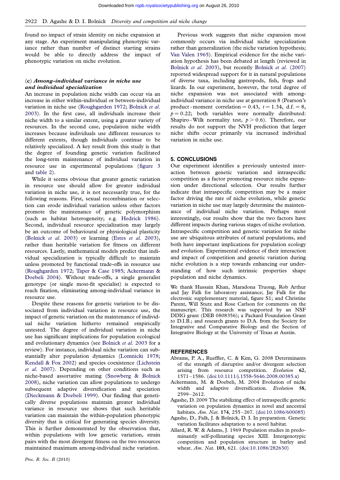<span id="page-8-0"></span>found no impact of strain identity on niche expansion at any stage. An experiment manipulating phenotypic variance rather than number of distinct starting strains would be able to directly address the impact of phenotypic variation on niche evolution.

## (c) Among-individual variance in niche use and individual specialization

An increase in population niche width can occur via an increase in either within-individual or between-individual variation in niche use [\(Roughgarden 1972](#page-9-0); [Bolnick](#page-9-0) et al. [2003\)](#page-9-0). In the first case, all individuals increase their niche width to a similar extent, using a greater variety of resources. In the second case, population niche width increases because individuals use different resources to different extents, though individuals continue to be relatively specialized. A key result from this study is that the degree of founding genetic variation facilitated the long-term maintenance of individual variation in resource use in experimental populations ([figure 3](#page-6-0) and [table 2\)](#page-4-0).

While it seems obvious that greater genetic variation in resource use should allow for greater individual variation in niche use, it is not necessarily true, for the following reasons. First, sexual recombination or selection can erode individual variation unless other factors promote the maintenance of genetic polymorphism (such as habitat heterogeneity; e.g. [Hedrick 1986](#page-9-0)). Second, individual resource specialization may largely be an outcome of behavioural or physiological plasticity [\(Bolnick](#page-9-0) et al. 2003) or learning (Estes et al[. 2003](#page-9-0)), rather than heritable variation for fitness on different resources. Lastly, mathematical models predict that individual specialization is typically difficult to maintain unless promoted by functional trade-offs in resource use [\(Roughgarden 1972;](#page-9-0) [Taper & Case 1985;](#page-10-0) Ackermann & Doebeli 2004). Without trade-offs, a single generalist genotype (or single most-fit specialist) is expected to reach fixation, eliminating among-individual variance in resource use.

Despite these reasons for genetic variation to be dissociated from individual variation in resource use, the impact of genetic variation on the maintenance of individual niche variation hitherto remained empirically untested. The degree of individual variation in niche use has significant implications for population ecological and evolutionary dynamics (see [Bolnick](#page-9-0) et al. 2003 for a review). For instance, individual niche variation can substantially alter population dynamics [\(Lomnicki 1978;](#page-9-0) [Kendall & Fox 2002](#page-9-0)) and species coexistence ([Lichstein](#page-9-0) et al[. 2007](#page-9-0)). Depending on other conditions such as niche-based assortative mating [\(Snowberg & Bolnick](#page-10-0) [2008\)](#page-10-0), niche variation can allow populations to undergo subsequent adaptive diversification and speciation [\(Dieckmann & Doebeli 1999](#page-9-0)). Our finding that genetically diverse populations maintain greater individual variance in resource use shows that such heritable variation can maintain the within-population phenotypic diversity that is critical for generating species diversity. This is further demonstrated by the observation that, within populations with low genetic variation, strain pairs with the most divergent fitness on the two resources maintained maximum among-individual niche variation.

Previous work suggests that niche expansion most commonly occurs via individual niche specialization rather than generalization (the niche variation hypothesis; [Van Valen 1965\)](#page-10-0). Empirical evidence for the niche variation hypothesis has been debated at length (reviewed in [Bolnick](#page-9-0) et al. 2003), but recently Bolnick et al[. \(2007\)](#page-9-0) reported widespread support for it in natural populations of diverse taxa, including gastropods, fish, frogs and lizards. In our experiment, however, the total degree of niche expansion was not associated with amongindividual variance in niche use at generation 8 (Pearson's product-moment correlation = 0.43,  $t = 1.34$ , d.f. = 8,  $p = 0.22$ ; both variables were normally distributed: Shapiro–Wilk normality test,  $p > 0.6$ ). Therefore, our results do not support the NVH prediction that larger niche shifts occur primarily via increased individual variation in niche use.

## 5. CONCLUSIONS

Our experiment identifies a previously untested interaction between genetic variation and intraspecific competition as a factor promoting resource niche expansion under directional selection. Our results further indicate that intraspecific competition may be a major factor driving the rate of niche evolution, while genetic variation in niche use may largely determine the maintenance of individual niche variation. Perhaps most interestingly, our results show that the two factors have different impacts during various stages of niche evolution. Intraspecific competition and genetic variation for niche use are ubiquitous attributes of natural populations, and both have important implications for population ecology and evolution. Experimental evidence of their interaction and impact of competition and genetic variation during niche evolution is a step towards enhancing our understanding of how such intrinsic properties shape population and niche dynamics.

We thank Hussain Khan, Maradona Truong, Rob Arthur and Jay Falk for laboratory assistance; Jay Falk for the electronic supplementary material, figure S1; and Christine Parent, Will Stutz and Rose Carlson for comments on the manuscript. This research was supported by an NSF DDIG grant (DEB 0808356); a Packard Foundation Grant to D.I.B.; and research grants to D.A. from the Society for Integrative and Comparative Biology and the Section of Integrative Biology at the University of Texas at Austin.

#### **REFERENCES**

- Abrams, P. A., Rueffler, C. & Kim, G. 2008 Determinants of the strength of disruptive and/or divergent selection arising from resource competition. Evolution 62, 1571–1586. ([doi:10.1111/j.1558-5646.2008.00385.x\)](http://dx.doi.org/doi:10.1111/j.1558-5646.2008.00385.x)
- Ackermann, M. & Doebeli, M. 2004 Evolution of niche width and adaptive diversification. Evolution 58, 2599–2612.
- Agashe, D. 2009 The stabilizing effect of intraspecific genetic variation on population dynamics in novel and ancestral habitats. Am. Nat. 174, 255-267. [\(doi:10.1086/600085](http://dx.doi.org/doi:10.1086/600085))
- Agashe, D., Falk, J. & Bolnick, D. I. In preparation. Genetic variation facilitates adaptation to a novel habitat.
- Allard, R. W. & Adams, J. 1969 Population studies in predominantly self-pollinating species XIII. Intergenotypic competition and population structure in barley and wheat. Am. Nat. 103, 621. ([doi:10.1086/282630](http://dx.doi.org/doi:10.1086/282630))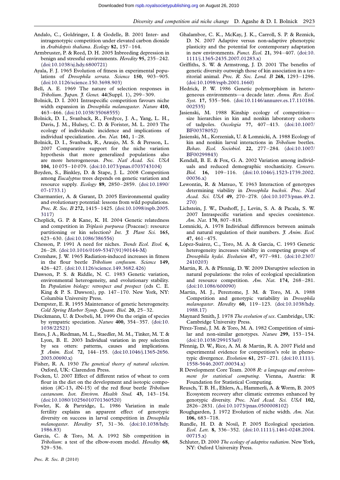- <span id="page-9-0"></span>Andalo, C., Goldringer, I. & Godelle, B. 2001 Inter- and intragenotypic competition under elevated carbon dioxide in Arabidopsis thaliana. Ecology 82, 157–164.
- Armbruster, P. & Reed, D. H. 2005 Inbreeding depression in benign and stressful environments. Heredity 95, 235–242. [\(doi:10.1038/sj.hdy.6800721\)](http://dx.doi.org/doi:10.1038/sj.hdy.6800721)
- Ayala, F. J. 1965 Evolution of fitness in experimental populations of *Drosophila serrata*. Science 150, 903-905. [\(doi:10.1126/science.150.3698.903\)](http://dx.doi.org/doi:10.1126/science.150.3698.903)
- Bell, A. E. 1969 The nature of selection responses in Tribolium. Japan. J. Genet. 44(Suppl. 1), 299-309.
- Bolnick, D. I. 2001 Intraspecific competition favours niche width expansion in Drosophila melanogaster. Nature 410, 463–466. ([doi:10.1038/35068555](http://dx.doi.org/doi:10.1038/35068555))
- Bolnick, D. I., Svanback, R., Fordyce, J. A., Yang, L. H., Davis, J. M., Hulsey, C. D. & Forister, M. L. 2003 The ecology of individuals: incidence and implications of individual specialization. Am. Nat. 161, 1–28.
- Bolnick, D. I., Svanback, R., Araujo, M. S. & Persson, L. 2007 Comparative support for the niche variation hypothesis that more generalized populations also are more heterogeneous. Proc. Natl Acad. Sci. USA 104, 10 075 –10 079. [\(doi:10.1073/pnas.0703743104](http://dx.doi.org/doi:10.1073/pnas.0703743104))
- Boyden, S., Binkley, D. & Stape, J. L. 2008 Competition among Eucalyptus trees depends on genetic variation and resource supply. Ecology 89, 2850–2859. ([doi:10.1890/](http://dx.doi.org/doi:10.1890/07-1733.1) [07-1733.1](http://dx.doi.org/doi:10.1890/07-1733.1))
- Charmantier, A. & Garant, D. 2005 Environmental quality and evolutionary potential: lessons from wild populations. Proc. R. Soc. B 272, 1415-1425. ([doi:10.1098/rspb.2005.](http://dx.doi.org/doi:10.1098/rspb.2005.3117) [3117](http://dx.doi.org/doi:10.1098/rspb.2005.3117))
- Cheplick, G. P. & Kane, K. H. 2004 Genetic relatedness and competition in Triplasis purpurea (Poaceae): resource partitioning or kin selection? Int. J. Plant Sci. 165, 623–630. ([doi:10.1086/386556](http://dx.doi.org/doi:10.1086/386556))
- Chesson, P. 1991 A need for niches. Trends Ecol. Evol. 6, 26–28. ([doi:10.1016/0169-5347\(91\)90144-M\)](http://dx.doi.org/doi:10.1016/0169-5347(91)90144-M)
- Crenshaw, J. W. 1965 Radiation-induced increases in fitness in the flour beetle Tribolium confusum. Science 149, 426–427. ([doi:10.1126/science.149.3682.426](http://dx.doi.org/doi:10.1126/science.149.3682.426))
- Dawson, P. S. & Riddle, N. C. 1983 Genetic variation, environmental heterogeneity, and evolutionary stability. In Population biology: retrospect and prospect (eds C. E. King & P. S. Dawson), pp. 147 –170. New York, NY: Columbia University Press.
- Dempster, E. R. 1955 Maintenance of genetic heterogeneity. Cold Spring Harbor Symp. Quant. Biol. 20, 25–32.
- Dieckmann, U. & Doebeli, M. 1999 On the origin of species by sympatric speciation. Nature 400, 354 –357. ([doi:10.](http://dx.doi.org/doi:10.1038/22521) [1038/22521\)](http://dx.doi.org/doi:10.1038/22521)
- Estes, J. A., Riedman, M. L., Staedler, M. M., Tinker, M. T. & Lyon, B. E. 2003 Individual variation in prey selection by sea otters: patterns, causes and implications. J. Anim. Ecol. 72, 144–155. [\(doi:10.1046/j.1365-2656.](http://dx.doi.org/doi:10.1046/j.1365-2656.2003.00690.x) [2003.00690.x\)](http://dx.doi.org/doi:10.1046/j.1365-2656.2003.00690.x)
- Fisher, R. A. 1930 The genetical theory of natural selection. Oxford, UK: Clarendon Press.
- Focken, U. 2007 Effect of different ratios of wheat to corn flour in the diet on the development and isotopic composition ( $\delta$ C-13,  $\delta$ N-15) of the red flour beetle *Tribolium* castaneum. Isot. Environ. Health Stud. 43, 143–154. [\(doi:10.1080/10256010701360520](http://dx.doi.org/doi:10.1080/10256010701360520))
- Fowler, K. & Partridge, L. 1986 Variation in male fertility explains an apparent effect of genotypic diversity on success in larval competition in Drosophila melanogaster. Heredity 57, 31–36. [\(doi:10.1038/hdy.](http://dx.doi.org/doi:10.1038/hdy.1986.83) [1986.83\)](http://dx.doi.org/doi:10.1038/hdy.1986.83)
- Garcia, C. & Toro, M. A. 1992 Sib competition in Tribolium: a test of the elbow-room model. Heredity 68, 529–536.
- Ghalambor, C. K., McKay, J. K., Carroll, S. P. & Reznick, D. N. 2007 Adaptive versus non-adaptive phenotypic plasticity and the potential for contemporary adaptation in new environments. Funct. Ecol. 21, 394 –407. ([doi:10.](http://dx.doi.org/doi:10.1111/j.1365-2435.2007.01283.x) [1111/j.1365-2435.2007.01283.x\)](http://dx.doi.org/doi:10.1111/j.1365-2435.2007.01283.x)
- Griffiths, S. W. & Armstrong, J. D. 2001 The benefits of genetic diversity outweigh those of kin association in a territorial animal. Proc. R. Soc. Lond. B 268, 1293–1296. [\(doi:10.1098/rspb.2001.1660\)](http://dx.doi.org/doi:10.1098/rspb.2001.1660)
- Hedrick, P. W. 1986 Genetic polymorphism in heterogeneous environments—a decade later. Annu. Rev. Ecol. Syst. 17, 535-566. ([doi:10.1146/annurev.es.17.110186.](http://dx.doi.org/doi:10.1146/annurev.es.17.110186.002535) [002535](http://dx.doi.org/doi:10.1146/annurev.es.17.110186.002535))
- Jasienski, M. 1988 Kinship ecology of competition size hierarchies in kin and nonkin laboratory cohorts of tadpoles. Oecologia 77, 407–413. ([doi:10.1007/](http://dx.doi.org/doi:10.1007/BF00378052) [BF00378052](http://dx.doi.org/doi:10.1007/BF00378052))
- Jasienski, M., Korzeniak, U. & Lomnicki, A. 1988 Ecology of kin and nonkin larval interactions in Tribolium beetles. Behav. Ecol. Sociobiol. 22, 277 –284. ([doi:10.1007/](http://dx.doi.org/doi:10.1007/BF00299843) [BF00299843](http://dx.doi.org/doi:10.1007/BF00299843))
- Kendall, B. E. & Fox, G. A. 2002 Variation among individuals and reduced demographic stochasticity. Conserv. Biol. 16, 109–116. [\(doi:10.1046/j.1523-1739.2002.](http://dx.doi.org/doi:10.1046/j.1523-1739.2002.00036.x) [00036.x](http://dx.doi.org/doi:10.1046/j.1523-1739.2002.00036.x))
- Lewontin, R. & Matsuo, Y. 1963 Interaction of genotypes determining viability in Drosophila bucksii. Proc. Natl Acad. Sci. USA 49, 270-278. ([doi:10.1073/pnas.49.2.](http://dx.doi.org/doi:10.1073/pnas.49.2.270) [270](http://dx.doi.org/doi:10.1073/pnas.49.2.270))
- Lichstein, J. W., Dushoff, J., Levin, S. A. & Pacala, S. W. 2007 Intraspecific variation and species coexistence. Am. Nat. 170, 807–818.
- Lomnicki, A. 1978 Individual differences between animals and natural regulation of their numbers. *J. Anim. Ecol.* 47, 461 –475.
- López-Suárez, C., Toro, M. A. & Garcia, C. 1993 Genetic heterogeneity increases viability in competing groups of Drosophila hydei. Evolution 47, 977 –981. ([doi:10.2307/](http://dx.doi.org/doi:10.2307/2410203) [2410203](http://dx.doi.org/doi:10.2307/2410203))
- Martin, R. A. & Pfennig, D. W. 2009 Disruptive selection in natural populations: the roles of ecological specialization and resource competition. Am. Nat. 174, 268–281. [\(doi:10.1086/600090\)](http://dx.doi.org/doi:10.1086/600090)
- Martin, M. J., Pereztome, J. M. & Toro, M. A. 1988 Competition and genotypic variability in Drosophila melanogaster. Heredity 60, 119-123. [\(doi:10.1038/hdy.](http://dx.doi.org/doi:10.1038/hdy.1988.17) [1988.17\)](http://dx.doi.org/doi:10.1038/hdy.1988.17)
- Maynard Smith, J. 1978 The evolution of sex. Cambridge, UK: Cambridge University Press.
- Pérez-Tomé, J. M. & Toro, M. A. 1982 Competition of similar and non-similar genotypes. Nature 299, 153–154. [\(doi:10.1038/299153a0](http://dx.doi.org/doi:10.1038/299153a0))
- Pfennig, D. W., Rice, A. M. & Martin, R. A. 2007 Field and experimental evidence for competition's role in phenotypic divergence. Evolution 61, 257 –271. ([doi:10.1111/j.](http://dx.doi.org/doi:10.1111/j.1558-5646.2007.00034.x) [1558-5646.2007.00034.x\)](http://dx.doi.org/doi:10.1111/j.1558-5646.2007.00034.x)
- R Development Core Team. 2008 R: a language and environment for statistical computing. Vienna, Austria: R Foundation for Statistical Computing.
- Reusch, T. B. H., Ehlers, A., Hammerli, A. & Worm, B. 2005 Ecosystem recovery after climatic extremes enhanced by genotypic diversity. Proc. Natl Acad. Sci. USA 102, 2826–2831. ([doi:10.1073/pnas.0500008102\)](http://dx.doi.org/doi:10.1073/pnas.0500008102)
- Roughgarden, J. 1972 Evolution of niche width. Am. Nat. 106, 683–718.
- Rundle, H. D. & Nosil, P. 2005 Ecological speciation. Ecol. Lett. 8, 336 –352. [\(doi:10.1111/j.1461-0248.2004.](http://dx.doi.org/doi:10.1111/j.1461-0248.2004.00715.x) [00715.x](http://dx.doi.org/doi:10.1111/j.1461-0248.2004.00715.x))
- Schluter, D. 2000 The ecology of adaptive radiation. New York, NY: Oxford University Press.